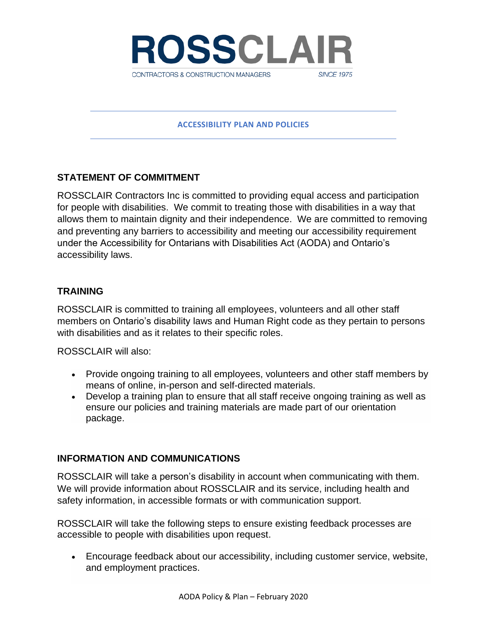

#### **ACCESSIBILITY PLAN AND POLICIES**

### **STATEMENT OF COMMITMENT**

ROSSCLAIR Contractors Inc is committed to providing equal access and participation for people with disabilities. We commit to treating those with disabilities in a way that allows them to maintain dignity and their independence. We are committed to removing and preventing any barriers to accessibility and meeting our accessibility requirement under the Accessibility for Ontarians with Disabilities Act (AODA) and Ontario's accessibility laws.

### **TRAINING**

ROSSCLAIR is committed to training all employees, volunteers and all other staff members on Ontario's disability laws and Human Right code as they pertain to persons with disabilities and as it relates to their specific roles.

ROSSCLAIR will also:

- Provide ongoing training to all employees, volunteers and other staff members by means of online, in-person and self-directed materials.
- Develop a training plan to ensure that all staff receive ongoing training as well as ensure our policies and training materials are made part of our orientation package.

### **INFORMATION AND COMMUNICATIONS**

ROSSCLAIR will take a person's disability in account when communicating with them. We will provide information about ROSSCLAIR and its service, including health and safety information, in accessible formats or with communication support.

ROSSCLAIR will take the following steps to ensure existing feedback processes are accessible to people with disabilities upon request.

• Encourage feedback about our accessibility, including customer service, website, and employment practices.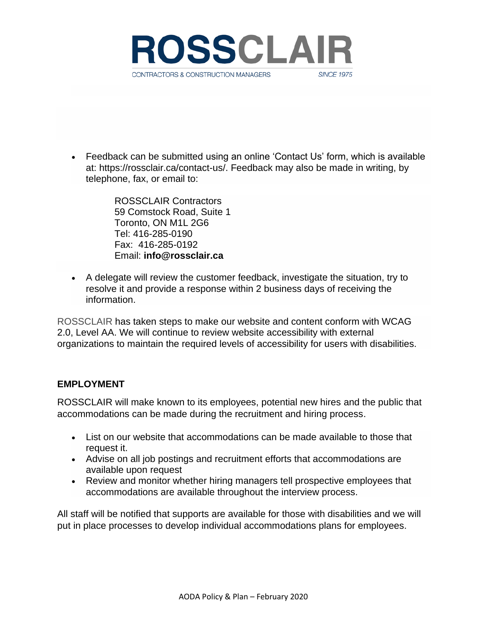

• Feedback can be submitted using an online 'Contact Us' form, which is available at: [https://rossclair.ca/contact-us/.](https://rossclair.ca/contact-us/) Feedback may also be made in writing, by telephone, fax, or email to:

> ROSSCLAIR Contractors 59 Comstock Road, Suite 1 Toronto, ON M1L 2G6 Tel: 416-285-0190 Fax: 416-285-0192 Email: **[info@rossclair.ca](mailto:info@rossclair.ca)**

• A delegate will review the customer feedback, investigate the situation, try to resolve it and provide a response within 2 business days of receiving the information.

ROSSCLAIR has taken steps to make our website and content conform with WCAG 2.0, Level AA. We will continue to review website accessibility with external organizations to maintain the required levels of accessibility for users with disabilities.

# **EMPLOYMENT**

ROSSCLAIR will make known to its employees, potential new hires and the public that accommodations can be made during the recruitment and hiring process.

- List on our website that accommodations can be made available to those that request it.
- Advise on all job postings and recruitment efforts that accommodations are available upon request
- Review and monitor whether hiring managers tell prospective employees that accommodations are available throughout the interview process.

All staff will be notified that supports are available for those with disabilities and we will put in place processes to develop individual accommodations plans for employees.